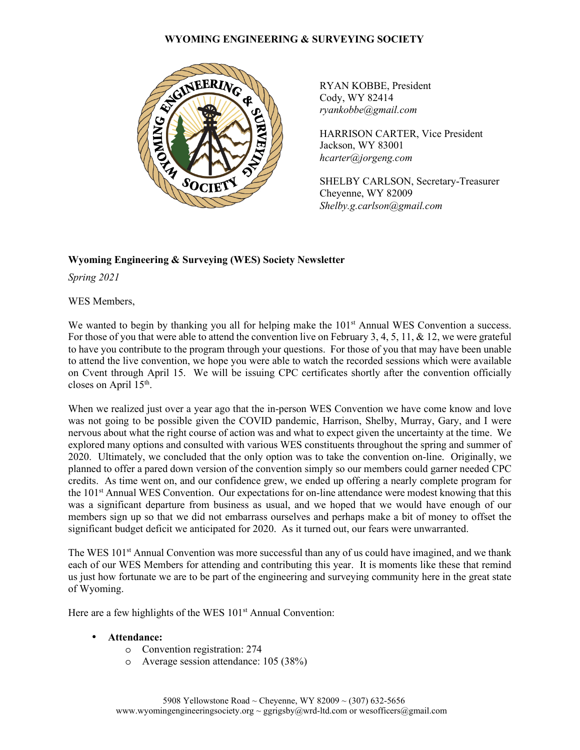### **WYOMING ENGINEERING & SURVEYING SOCIETY**



RYAN KOBBE, President Cody, WY 82414 *ryankobbe@gmail.com* 

HARRISON CARTER, Vice President Jackson, WY 83001 *hcarter@jorgeng.com* 

SHELBY CARLSON, Secretary-Treasurer Cheyenne, WY 82009 *Shelby.g.carlson@gmail.com* 

# **Wyoming Engineering & Surveying (WES) Society Newsletter**

*Spring 2021* 

WES Members,

We wanted to begin by thanking you all for helping make the 101<sup>st</sup> Annual WES Convention a success. For those of you that were able to attend the convention live on February 3, 4, 5, 11, & 12, we were grateful to have you contribute to the program through your questions. For those of you that may have been unable to attend the live convention, we hope you were able to watch the recorded sessions which were available on Cvent through April 15. We will be issuing CPC certificates shortly after the convention officially closes on April 15<sup>th</sup>.

When we realized just over a year ago that the in-person WES Convention we have come know and love was not going to be possible given the COVID pandemic, Harrison, Shelby, Murray, Gary, and I were nervous about what the right course of action was and what to expect given the uncertainty at the time. We explored many options and consulted with various WES constituents throughout the spring and summer of 2020. Ultimately, we concluded that the only option was to take the convention on-line. Originally, we planned to offer a pared down version of the convention simply so our members could garner needed CPC credits. As time went on, and our confidence grew, we ended up offering a nearly complete program for the 101st Annual WES Convention. Our expectations for on-line attendance were modest knowing that this was a significant departure from business as usual, and we hoped that we would have enough of our members sign up so that we did not embarrass ourselves and perhaps make a bit of money to offset the significant budget deficit we anticipated for 2020. As it turned out, our fears were unwarranted.

The WES 101<sup>st</sup> Annual Convention was more successful than any of us could have imagined, and we thank each of our WES Members for attending and contributing this year. It is moments like these that remind us just how fortunate we are to be part of the engineering and surveying community here in the great state of Wyoming.

Here are a few highlights of the WES 101<sup>st</sup> Annual Convention:

- **Attendance:**
	- o Convention registration: 274
	- o Average session attendance: 105 (38%)